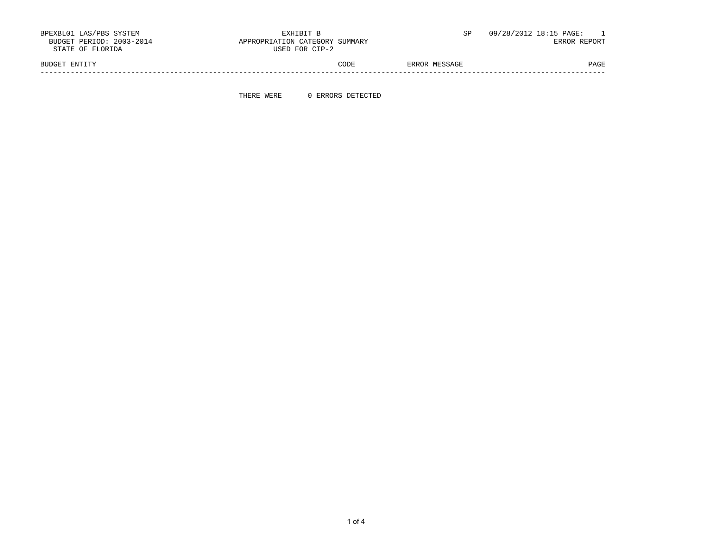| BPEXBL01 LAS/PBS SYSTEM  | EXHIBIT B                      |               | 09/28/2012 18:15 PAGE:   |
|--------------------------|--------------------------------|---------------|--------------------------|
| BUDGET PERIOD: 2003-2014 | APPROPRIATION CATEGORY SUMMARY |               | $\overline{\phantom{a}}$ |
| STATE OF FLORIDA         | USED FOR CIP-2                 |               | ERROR REPORT             |
| BUDGET ENTITY            | CODE                           | ERROR MESSAGE | PAGE                     |

-----------------------------------------------------------------------------------------------------------------------------------

THERE WERE 0 ERRORS DETECTED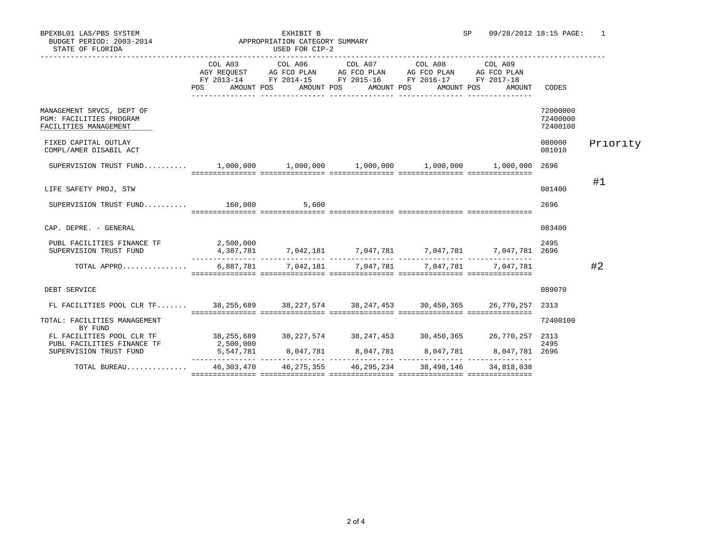|  | מחזק∩.זק ק∩ קידמידי |
|--|---------------------|

| STATE OF FLORIDA                                                                     | USED FOR CIP-2 |                                |                                                                                                                                                                                                                                                                         |                  |                                                                                                                                                                                                                                |                                  |          |
|--------------------------------------------------------------------------------------|----------------|--------------------------------|-------------------------------------------------------------------------------------------------------------------------------------------------------------------------------------------------------------------------------------------------------------------------|------------------|--------------------------------------------------------------------------------------------------------------------------------------------------------------------------------------------------------------------------------|----------------------------------|----------|
|                                                                                      | POS FOR        | AMOUNT POS<br>________________ | $\begin{tabular}{lcccc} COL A03 & COL A06 & COL A07 & COL A08 & COL A09 \\ AGY REQUEST & AG FCO PLAN & AG FCO PLAN & AG FCO PLAN & AG FCO PLAN \\ \end{tabular}$<br>FY 2013-14 FY 2014-15 FY 2015-16 FY 2016-17 FY 2017-18<br>AMOUNT POS AMOUNT POS<br>________________ | ________________ | AMOUNT POS<br>AMOUNT                                                                                                                                                                                                           | CODES                            |          |
| MANAGEMENT SRVCS, DEPT OF<br><b>PGM: FACILITIES PROGRAM</b><br>FACILITIES MANAGEMENT |                |                                |                                                                                                                                                                                                                                                                         |                  |                                                                                                                                                                                                                                | 72000000<br>72400000<br>72400100 |          |
| FIXED CAPITAL OUTLAY<br>COMPL/AMER DISABIL ACT                                       |                |                                |                                                                                                                                                                                                                                                                         |                  |                                                                                                                                                                                                                                | 080000<br>081010                 | Priority |
|                                                                                      |                |                                |                                                                                                                                                                                                                                                                         |                  |                                                                                                                                                                                                                                | 2696                             |          |
| LIFE SAFETY PROJ, STW                                                                |                |                                |                                                                                                                                                                                                                                                                         |                  |                                                                                                                                                                                                                                | 081400                           | #1       |
| SUPERVISION TRUST FUND 160,000 5,600                                                 |                |                                |                                                                                                                                                                                                                                                                         |                  |                                                                                                                                                                                                                                | 2696                             |          |
| CAP. DEPRE. - GENERAL<br>PUBL FACILITIES FINANCE TF 2,500,000                        |                |                                |                                                                                                                                                                                                                                                                         |                  |                                                                                                                                                                                                                                | 083400<br>2495                   |          |
| SUPERVISION TRUST FUND                                                               |                |                                |                                                                                                                                                                                                                                                                         |                  | $4,387,781$ $7,042,181$ $7,047,781$ $7,047,781$ $7,047,781$ $7,047,781$ $7,047,781$ $7,047,781$ $7,047,781$ $7,047,781$ $7,047,781$ $7,047,781$ $7,047,781$ $7,047,781$ $7,047,781$ $7,047,781$ $7,047,781$ $7,047,781$ $7,04$ |                                  |          |
| TOTAL APPRO                                                                          |                |                                | $6,887,781$ $7,042,181$ $7,047,781$ $7,047,781$ $7,047,781$                                                                                                                                                                                                             |                  |                                                                                                                                                                                                                                |                                  | #2       |
| DEBT SERVICE                                                                         |                |                                |                                                                                                                                                                                                                                                                         |                  |                                                                                                                                                                                                                                | 089070                           |          |
| FL FACILITIES POOL CLR TF 38,255,689 38,227,574 38,247,453 30,450,365 26,770,257     |                |                                |                                                                                                                                                                                                                                                                         |                  |                                                                                                                                                                                                                                | 2313                             |          |
| TOTAL: FACILITIES MANAGEMENT<br>BY FUND                                              |                |                                |                                                                                                                                                                                                                                                                         |                  |                                                                                                                                                                                                                                | 72400100                         |          |
| FL FACILITIES POOL CLR TF 38,255,689<br>PUBL FACILITIES FINANCE TF                   | 2,500,000      |                                |                                                                                                                                                                                                                                                                         |                  | 38,227,574 38,247,453 30,450,365 26,770,257 2313                                                                                                                                                                               | 2495                             |          |
| SUPERVISION TRUST FUND                                                               |                |                                |                                                                                                                                                                                                                                                                         |                  | $5,547,781$ $8,047,781$ $8,047,781$ $8,047,781$ $8,047,781$ $8,047,781$ 2696                                                                                                                                                   |                                  |          |
| TOTAL BUREAU                                                                         |                |                                | 46, 303, 470   46, 275, 355   46, 295, 234   38, 498, 146                                                                                                                                                                                                               |                  | 34,818,038                                                                                                                                                                                                                     |                                  |          |
|                                                                                      |                |                                |                                                                                                                                                                                                                                                                         |                  |                                                                                                                                                                                                                                |                                  |          |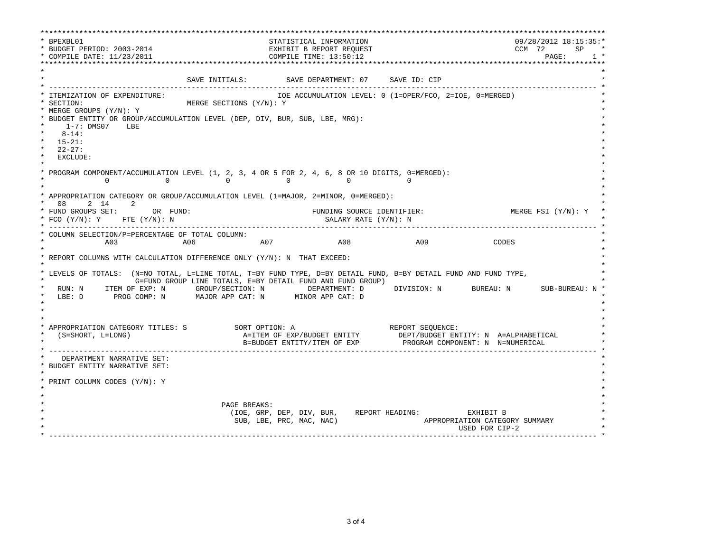\*\*\*\*\*\*\*\*\*\*\*\*\*\*\*\*\*\*\*\*\*\*\*\*\*\*\*\*\*\*\*\*\*\*\*\*\*\*\*\*\*\*\*\*\*\*\*\*\*\*\*\*\*\*\*\*\*\*\*\*\*\*\*\*\*\*\*\*\*\*\*\*\*\*\*\*\*\*\*\*\*\*\*\*\*\*\*\*\*\*\*\*\*\*\*\*\*\*\*\*\*\*\*\*\*\*\*\*\*\*\*\*\*\*\*\*\*\*\*\*\*\*\*\*\*\*\*\*\*\*\* \* BPEXBL01 STATISTICAL INFORMATION 09/28/2012 18:15:35:\* \* BUDGET PERIOD: 2003-2014<br>\* COMPILE DATE: 11/23/2011 COMPILE TIME: 13:50:12 COMPILE TIME: 13:50:12 \* COMPILE DATE: 11/23/2011 COMPILE TIME: 13:50:12 PAGE: 1 \* \*\*\*\*\*\*\*\*\*\*\*\*\*\*\*\*\*\*\*\*\*\*\*\*\*\*\*\*\*\*\*\*\*\*\*\*\*\*\*\*\*\*\*\*\*\*\*\*\*\*\*\*\*\*\*\*\*\*\*\*\*\*\*\*\*\*\*\*\*\*\*\*\*\*\*\*\*\*\*\*\*\*\*\*\*\*\*\*\*\*\*\*\*\*\*\*\*\*\*\*\*\*\*\*\*\*\*\*\*\*\*\*\*\*\*\*\*\*\*\*\*\*\*\*\*\*\*\*\*\*\*  $\star$  \* SAVE INITIALS: SAVE DEPARTMENT: 07 SAVE ID: CIP \* ------------------------------------------------------------------------------------------------------------------------------- \* \* ITEMIZATION OF EXPENDITURE: IOE ACCUMULATION LEVEL: 0 (1=OPER/FCO, 2=IOE, 0=MERGED) \* \* SECTION: MERGE SECTIONS (Y/N): Y \* \* MERGE GROUPS (Y/N): Y \* \* BUDGET ENTITY OR GROUP/ACCUMULATION LEVEL (DEP, DIV, BUR, SUB, LBE, MRG): \* \* 1-7: DMS07 LBE \* \* 8-14: \* \* 15-21: \* \* 22-27: \* \* EXCLUDE: \*  $\star$   $\star$ PROGRAM COMPONENT/ACCUMULATION LEVEL (1, 2, 3, 4 OR 5 FOR 2, 4, 6, 8 OR 10 DIGITS, 0=MERGED): \* 0 0 0 0 0 0 \*  $\star$   $\star$  \* APPROPRIATION CATEGORY OR GROUP/ACCUMULATION LEVEL (1=MAJOR, 2=MINOR, 0=MERGED): \* 08 2 14 2<br>FUND GROUPS SET: OR FUND: THE SOURCE IDENTIFIER: WERGE FSI (Y/N): Y FUNDING SOURCE IDENTIFIER: \* FCO (Y/N): Y FTE (Y/N): N SALARY RATE (Y/N): N \* \* ------------------------------------------------------------------------------------------------------------------------------- \* \* COLUMN SELECTION/P=PERCENTAGE OF TOTAL COLUMN: \*  $\star$  and and and any  $\star$  and  $\star$  and  $\star$  and  $\star$  and  $\star$  and  $\star$  and  $\star$  and  $\star$  and  $\star$  and  $\star$  and  $\star$  and  $\star$  and  $\star$  and  $\star$  and  $\star$  and  $\star$  and  $\star$  and  $\star$  and  $\star$  and  $\star$  and  $\star$  and  $\star$  and  $\$  \* \* \* REPORT COLUMNS WITH CALCULATION DIFFERENCE ONLY (Y/N): N THAT EXCEED: \* \* \* \* LEVELS OF TOTALS: (N=NO TOTAL, L=LINE TOTAL, T=BY FUND TYPE, D=BY DETAIL FUND, B=BY DETAIL FUND AND FUND TYPE, \* G=FUND GROUP LINE TOTALS, E=BY DETAIL FUND AND FUND GROUP) \* RUN: N ITEM OF EXP: N GROUP/SECTION: N DEPARTMENT: D DIVISION: N BUREAU: N SUB-BUREAU: N \* \* LBE: D PROG COMP: N MAJOR APP CAT: N MINOR APP CAT: D \*  $\star$  \*  $\star$  \*  $\star$  \* \* APPROPRIATION CATEGORY TITLES: S SORT OPTION: A REPORT SEQUENCE: \* (S=SHORT, L=LONG)  $A=ITEM$  OF EXP/BUDGET ENTITY DEPT/BUDGET ENTITY: N A=ALPHABETICAL B=BUDGET ENTITY/ITEM OF EXP PROGRAM COMPONENT: N N=NUMERICAL \* ------------------------------------------------------------------------------------------------------------------------------- \* DEPARTMENT NARRATIVE SET: BUDGET ENTITY NARRATIVE SET:  $\star$   $\star$  \* PRINT COLUMN CODES (Y/N): Y \*  $\star$   $\star$  \* \* \* PAGE BREAKS: \* (IOE, GRP, DEP, DIV, BUR, REPORT HEADING: EXHIBIT B \* SUB, LBE, PRC, MAC, NAC) APPROPRIATION CATEGORY SUMMARY \* USED FOR CIP-2 \* \* ------------------------------------------------------------------------------------------------------------------------------- \*